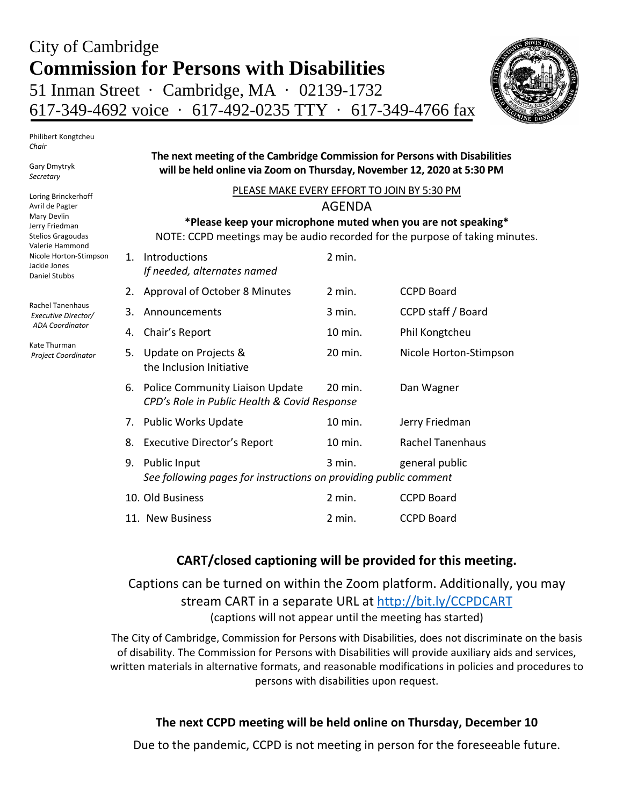# City of Cambridge **Commission for Persons with Disabilities** 51 Inman Street · Cambridge, MA · 02139-1732 617-349-4692 voice · 617-492-0235 TTY · 617-349-4766 fax



Philibert Kongtcheu *Chair*

Gary Dmytryk *Secretary* 

Loring Brinckerhoff Avril de Pagter Mary Devlin Jerry Friedman Stelios Gragoudas Valerie Hammond Nicole Horton-Stimpson Jackie Jones Daniel Stubbs

Rachel Tanenhaus *Executive Director/ ADA Coordinator*

Kate Thurman *Project Coordinator*

#### **The next meeting of the Cambridge Commission for Persons with Disabilities will be held online via Zoom on Thursday, November 12, 2020 at 5:30 PM**

| PLEASE MAKE EVERY EFFORT TO JOIN BY 5:30 PM                                  |                                                                                                                 |          |                         |  |
|------------------------------------------------------------------------------|-----------------------------------------------------------------------------------------------------------------|----------|-------------------------|--|
|                                                                              | <b>AGENDA</b>                                                                                                   |          |                         |  |
|                                                                              | *Please keep your microphone muted when you are not speaking*                                                   |          |                         |  |
| NOTE: CCPD meetings may be audio recorded for the purpose of taking minutes. |                                                                                                                 |          |                         |  |
| $1_{-}$                                                                      | Introductions<br>If needed, alternates named                                                                    | 2 min.   |                         |  |
| 2.                                                                           | Approval of October 8 Minutes                                                                                   | $2$ min. | <b>CCPD Board</b>       |  |
| 3.                                                                           | Announcements                                                                                                   | $3$ min. | CCPD staff / Board      |  |
| 4.                                                                           | Chair's Report                                                                                                  | 10 min.  | Phil Kongtcheu          |  |
| 5.                                                                           | Update on Projects &<br>the Inclusion Initiative                                                                | 20 min.  | Nicole Horton-Stimpson  |  |
| 6.                                                                           | <b>Police Community Liaison Update</b><br>20 min.<br>Dan Wagner<br>CPD's Role in Public Health & Covid Response |          |                         |  |
| 7.                                                                           | <b>Public Works Update</b>                                                                                      | 10 min.  | Jerry Friedman          |  |
| 8.                                                                           | <b>Executive Director's Report</b>                                                                              | 10 min.  | <b>Rachel Tanenhaus</b> |  |
| 9.                                                                           | <b>Public Input</b><br>See following pages for instructions on providing public comment                         | $3$ min. | general public          |  |
|                                                                              | 10. Old Business                                                                                                | $2$ min. | <b>CCPD Board</b>       |  |
|                                                                              | 11. New Business                                                                                                | 2 min.   | <b>CCPD Board</b>       |  |

# **CART/closed captioning will be provided for this meeting.**

Captions can be turned on within the Zoom platform. Additionally, you may stream CART in a separate URL at<http://bit.ly/CCPDCART> (captions will not appear until the meeting has started)

The City of Cambridge, Commission for Persons with Disabilities, does not discriminate on the basis of disability. The Commission for Persons with Disabilities will provide auxiliary aids and services, written materials in alternative formats, and reasonable modifications in policies and procedures to persons with disabilities upon request.

# **The next CCPD meeting will be held online on Thursday, December 10**

Due to the pandemic, CCPD is not meeting in person for the foreseeable future.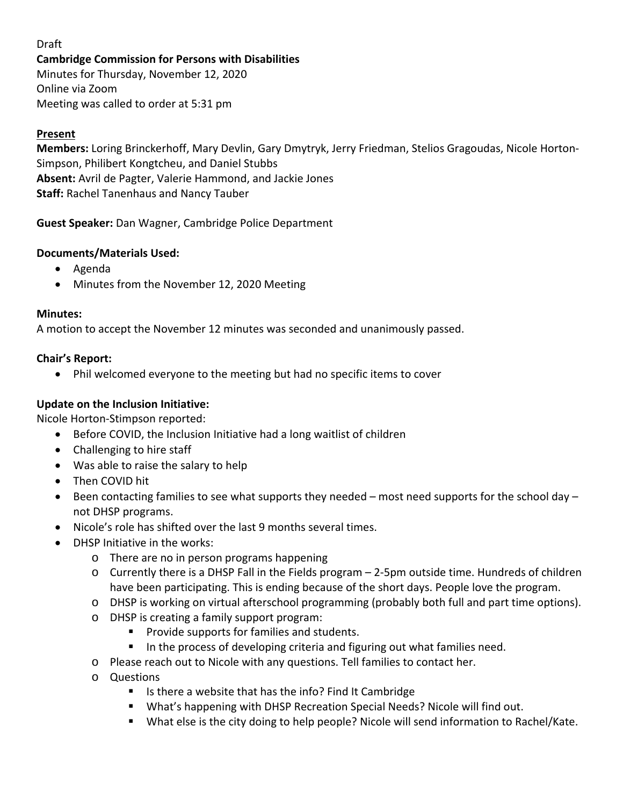# Draft

#### **Cambridge Commission for Persons with Disabilities**

Minutes for Thursday, November 12, 2020 Online via Zoom Meeting was called to order at 5:31 pm

#### **Present**

**Members:** Loring Brinckerhoff, Mary Devlin, Gary Dmytryk, Jerry Friedman, Stelios Gragoudas, Nicole Horton-Simpson, Philibert Kongtcheu, and Daniel Stubbs **Absent:** Avril de Pagter, Valerie Hammond, and Jackie Jones **Staff:** Rachel Tanenhaus and Nancy Tauber

**Guest Speaker:** Dan Wagner, Cambridge Police Department

#### **Documents/Materials Used:**

- Agenda
- Minutes from the November 12, 2020 Meeting

#### **Minutes:**

A motion to accept the November 12 minutes was seconded and unanimously passed.

#### **Chair's Report:**

• Phil welcomed everyone to the meeting but had no specific items to cover

### **Update on the Inclusion Initiative:**

Nicole Horton-Stimpson reported:

- Before COVID, the Inclusion Initiative had a long waitlist of children
- Challenging to hire staff
- Was able to raise the salary to help
- Then COVID hit
- Been contacting families to see what supports they needed most need supports for the school day not DHSP programs.
- Nicole's role has shifted over the last 9 months several times.
- DHSP Initiative in the works:
	- o There are no in person programs happening
	- o Currently there is a DHSP Fall in the Fields program 2-5pm outside time. Hundreds of children have been participating. This is ending because of the short days. People love the program.
	- o DHSP is working on virtual afterschool programming (probably both full and part time options).
	- o DHSP is creating a family support program:
		- Provide supports for families and students.
		- In the process of developing criteria and figuring out what families need.
	- o Please reach out to Nicole with any questions. Tell families to contact her.
	- o Questions
		- Is there a website that has the info? Find It Cambridge
		- What's happening with DHSP Recreation Special Needs? Nicole will find out.
		- What else is the city doing to help people? Nicole will send information to Rachel/Kate.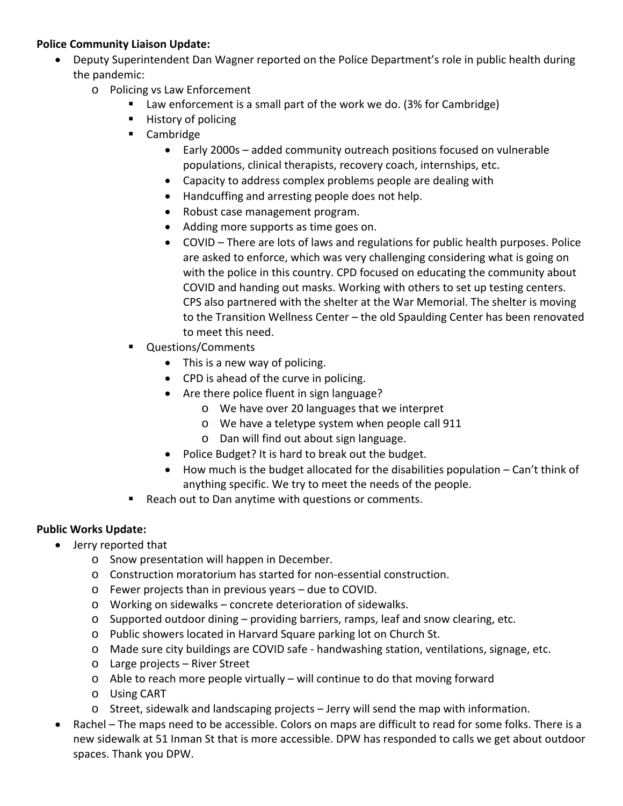## **Police Community Liaison Update:**

- Deputy Superintendent Dan Wagner reported on the Police Department's role in public health during the pandemic:
	- o Policing vs Law Enforcement
		- Law enforcement is a small part of the work we do. (3% for Cambridge)
		- **History of policing**
		- **Cambridge** 
			- Early 2000s added community outreach positions focused on vulnerable populations, clinical therapists, recovery coach, internships, etc.
			- Capacity to address complex problems people are dealing with
			- Handcuffing and arresting people does not help.
			- Robust case management program.
			- Adding more supports as time goes on.
			- COVID There are lots of laws and regulations for public health purposes. Police are asked to enforce, which was very challenging considering what is going on with the police in this country. CPD focused on educating the community about COVID and handing out masks. Working with others to set up testing centers. CPS also partnered with the shelter at the War Memorial. The shelter is moving to the Transition Wellness Center – the old Spaulding Center has been renovated to meet this need.
		- Questions/Comments
			- This is a new way of policing.
			- CPD is ahead of the curve in policing.
			- Are there police fluent in sign language?
				- o We have over 20 languages that we interpret
				- o We have a teletype system when people call 911
				- o Dan will find out about sign language.
			- Police Budget? It is hard to break out the budget.
			- How much is the budget allocated for the disabilities population Can't think of anything specific. We try to meet the needs of the people.
		- Reach out to Dan anytime with questions or comments.

#### **Public Works Update:**

- Jerry reported that
	- o Snow presentation will happen in December.
	- o Construction moratorium has started for non-essential construction.
	- o Fewer projects than in previous years due to COVID.
	- o Working on sidewalks concrete deterioration of sidewalks.
	- $\circ$  Supported outdoor dining providing barriers, ramps, leaf and snow clearing, etc.
	- o Public showers located in Harvard Square parking lot on Church St.
	- o Made sure city buildings are COVID safe handwashing station, ventilations, signage, etc.
	- o Large projects River Street
	- $\circ$  Able to reach more people virtually will continue to do that moving forward
	- o Using CART
	- o Street, sidewalk and landscaping projects Jerry will send the map with information.
- Rachel The maps need to be accessible. Colors on maps are difficult to read for some folks. There is a new sidewalk at 51 Inman St that is more accessible. DPW has responded to calls we get about outdoor spaces. Thank you DPW.